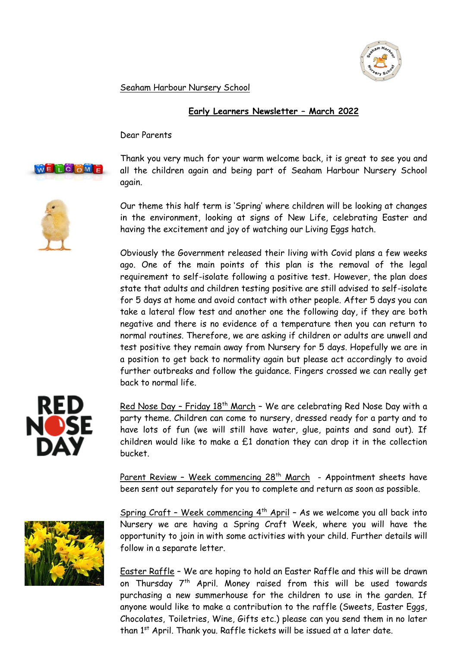

Seaham Harbour Nursery School

## **Early Learners Newsletter – March 2022**

Dear Parents



Thank you very much for your warm welcome back, it is great to see you and all the children again and being part of Seaham Harbour Nursery School again.

Our theme this half term is 'Spring' where children will be looking at changes in the environment, looking at signs of New Life, celebrating Easter and having the excitement and joy of watching our Living Eggs hatch.

Obviously the Government released their living with Covid plans a few weeks ago. One of the main points of this plan is the removal of the legal requirement to self-isolate following a positive test. However, the plan does state that adults and children testing positive are still advised to self-isolate for 5 days at home and avoid contact with other people. After 5 days you can take a lateral flow test and another one the following day, if they are both negative and there is no evidence of a temperature then you can return to normal routines. Therefore, we are asking if children or adults are unwell and test positive they remain away from Nursery for 5 days. Hopefully we are in a position to get back to normality again but please act accordingly to avoid further outbreaks and follow the guidance. Fingers crossed we can really get back to normal life.



Red Nose Day - Friday 18<sup>th</sup> March - We are celebrating Red Nose Day with a party theme. Children can come to nursery, dressed ready for a party and to have lots of fun (we will still have water, glue, paints and sand out). If children would like to make a  $£1$  donation they can drop it in the collection bucket.

Parent Review - Week commencing  $28<sup>th</sup>$  March - Appointment sheets have been sent out separately for you to complete and return as soon as possible.



Spring Craft - Week commencing  $4<sup>th</sup>$  April - As we welcome you all back into Nursery we are having a Spring Craft Week, where you will have the opportunity to join in with some activities with your child. Further details will follow in a separate letter.

Easter Raffle – We are hoping to hold an Easter Raffle and this will be drawn on Thursday 7<sup>th</sup> April. Money raised from this will be used towards purchasing a new summerhouse for the children to use in the garden. If anyone would like to make a contribution to the raffle (Sweets, Easter Eggs, Chocolates, Toiletries, Wine, Gifts etc.) please can you send them in no later than 1<sup>st</sup> April. Thank you. Raffle tickets will be issued at a later date.